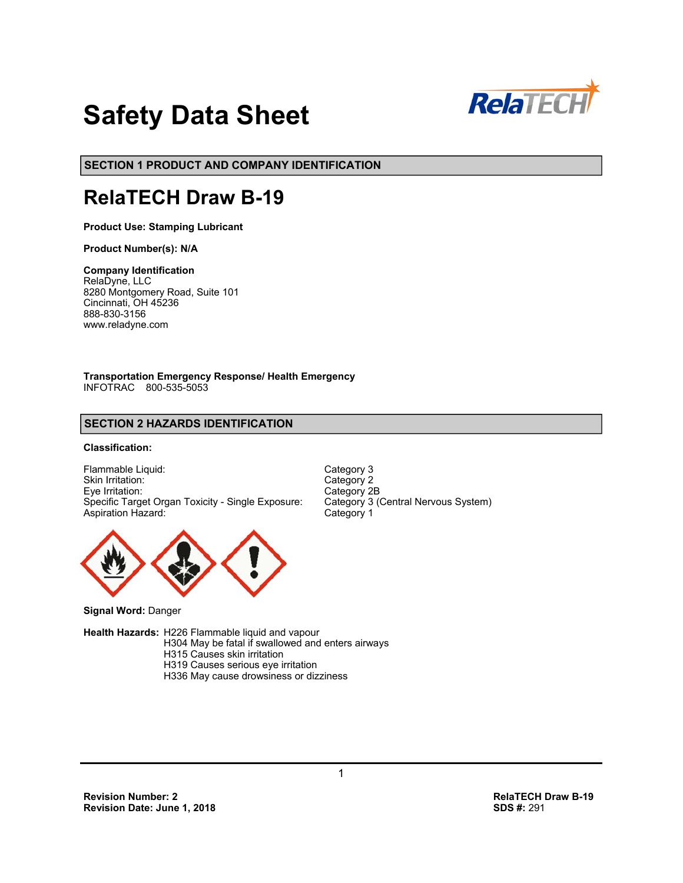

# **Safety Data Sheet**

**SECTION 1 PRODUCT AND COMPANY IDENTIFICATION**

# **RelaTECH Draw B-19**

**Product Use: Stamping Lubricant**

**Product Number(s): N/A** 

#### **Company Identification**

RelaDyne, LLC 8280 Montgomery Road, Suite 101 Cincinnati, OH 45236 888-830-3156 www.reladyne.com

**Transportation Emergency Response/ Health Emergency**  INFOTRAC 800-535-5053

# **SECTION 2 HAZARDS IDENTIFICATION**

### **Classification:**

Flammable Liquid: Category 3<br>
Skin Irritation: Category 2 Skin Irritation: Eye Irritation: Category 2B<br>Specific Target Organ Toxicity - Single Exposure: Category 3 (Central Nervous System) Specific Target Organ Toxicity - Single Exposure: Aspiration Hazard: Category 1



**Signal Word:** Danger

**Health Hazards:** H226 Flammable liquid and vapour

 H304 May be fatal if swallowed and enters airways H315 Causes skin irritation H319 Causes serious eye irritation

H336 May cause drowsiness or dizziness

**Revision Number: 2 RelaTECH Draw B-19 Revision Date: June 1, 2018**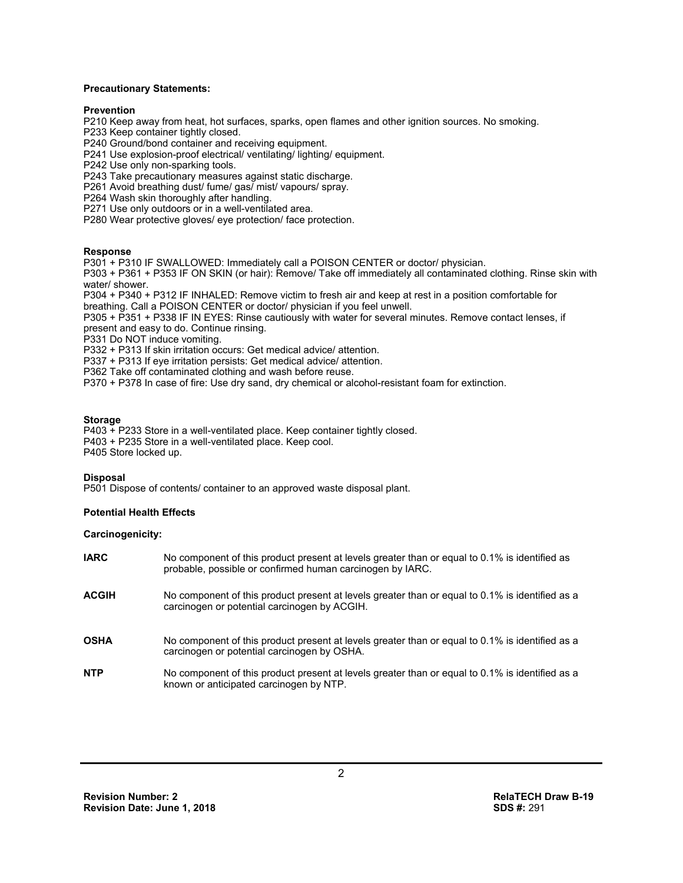#### **Precautionary Statements:**

#### **Prevention**

P210 Keep away from heat, hot surfaces, sparks, open flames and other ignition sources. No smoking.

P233 Keep container tightly closed.

P240 Ground/bond container and receiving equipment.

P241 Use explosion-proof electrical/ ventilating/ lighting/ equipment.

P242 Use only non-sparking tools.

P243 Take precautionary measures against static discharge.

P261 Avoid breathing dust/ fume/ gas/ mist/ vapours/ spray.

P264 Wash skin thoroughly after handling.

P271 Use only outdoors or in a well-ventilated area.

P280 Wear protective gloves/ eye protection/ face protection.

#### **Response**

P301 + P310 IF SWALLOWED: Immediately call a POISON CENTER or doctor/ physician.

P303 + P361 + P353 IF ON SKIN (or hair): Remove/ Take off immediately all contaminated clothing. Rinse skin with water/ shower.

P304 + P340 + P312 IF INHALED: Remove victim to fresh air and keep at rest in a position comfortable for breathing. Call a POISON CENTER or doctor/ physician if you feel unwell.

P305 + P351 + P338 IF IN EYES: Rinse cautiously with water for several minutes. Remove contact lenses, if present and easy to do. Continue rinsing.

P331 Do NOT induce vomiting.

P332 + P313 If skin irritation occurs: Get medical advice/ attention.

P337 + P313 If eye irritation persists: Get medical advice/ attention.

P362 Take off contaminated clothing and wash before reuse.

P370 + P378 In case of fire: Use dry sand, dry chemical or alcohol-resistant foam for extinction.

#### **Storage**

P403 + P233 Store in a well-ventilated place. Keep container tightly closed. P403 + P235 Store in a well-ventilated place. Keep cool. P405 Store locked up.

#### **Disposal**

P501 Dispose of contents/ container to an approved waste disposal plant.

#### **Potential Health Effects**

#### **Carcinogenicity:**

| <b>IARC</b>  | No component of this product present at levels greater than or equal to 0.1% is identified as<br>probable, possible or confirmed human carcinogen by IARC. |
|--------------|------------------------------------------------------------------------------------------------------------------------------------------------------------|
| <b>ACGIH</b> | No component of this product present at levels greater than or equal to 0.1% is identified as a<br>carcinogen or potential carcinogen by ACGIH.            |
| <b>OSHA</b>  | No component of this product present at levels greater than or equal to 0.1% is identified as a<br>carcinogen or potential carcinogen by OSHA.             |
| <b>NTP</b>   | No component of this product present at levels greater than or equal to 0.1% is identified as a<br>known or anticipated carcinogen by NTP.                 |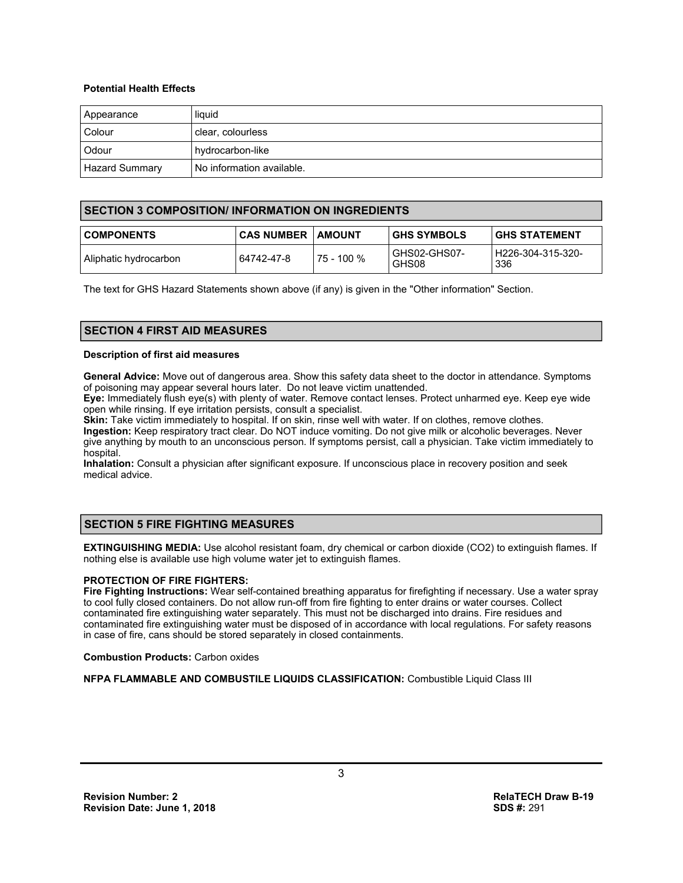#### **Potential Health Effects**

| Appearance            | liquid                    |
|-----------------------|---------------------------|
| Colour                | clear, colourless         |
| Odour                 | hydrocarbon-like          |
| <b>Hazard Summary</b> | No information available. |

# **SECTION 3 COMPOSITION/ INFORMATION ON INGREDIENTS**

| <b>COMPONENTS</b>     | <b>CAS NUMBER LAMOUNT</b> |            | <b>GHS SYMBOLS</b>    | I GHS STATEMENT            |
|-----------------------|---------------------------|------------|-----------------------|----------------------------|
| Aliphatic hydrocarbon | 64742-47-8                | 75 - 100 % | GHS02-GHS07-<br>GHS08 | l H226-304-315-320-<br>336 |

The text for GHS Hazard Statements shown above (if any) is given in the "Other information" Section.

# **SECTION 4 FIRST AID MEASURES**

#### **Description of first aid measures**

**General Advice:** Move out of dangerous area. Show this safety data sheet to the doctor in attendance. Symptoms of poisoning may appear several hours later. Do not leave victim unattended.

**Eye:** Immediately flush eye(s) with plenty of water. Remove contact lenses. Protect unharmed eye. Keep eye wide open while rinsing. If eye irritation persists, consult a specialist.

**Skin:** Take victim immediately to hospital. If on skin, rinse well with water. If on clothes, remove clothes. **Ingestion:** Keep respiratory tract clear. Do NOT induce vomiting. Do not give milk or alcoholic beverages. Never give anything by mouth to an unconscious person. If symptoms persist, call a physician. Take victim immediately to hospital.

**Inhalation:** Consult a physician after significant exposure. If unconscious place in recovery position and seek medical advice.

# **SECTION 5 FIRE FIGHTING MEASURES**

**EXTINGUISHING MEDIA:** Use alcohol resistant foam, dry chemical or carbon dioxide (CO2) to extinguish flames. If nothing else is available use high volume water jet to extinguish flames.

#### **PROTECTION OF FIRE FIGHTERS:**

**Fire Fighting Instructions:** Wear self-contained breathing apparatus for firefighting if necessary. Use a water spray to cool fully closed containers. Do not allow run-off from fire fighting to enter drains or water courses. Collect contaminated fire extinguishing water separately. This must not be discharged into drains. Fire residues and contaminated fire extinguishing water must be disposed of in accordance with local regulations. For safety reasons in case of fire, cans should be stored separately in closed containments.

**Combustion Products:** Carbon oxides

**NFPA FLAMMABLE AND COMBUSTILE LIQUIDS CLASSIFICATION:** Combustible Liquid Class III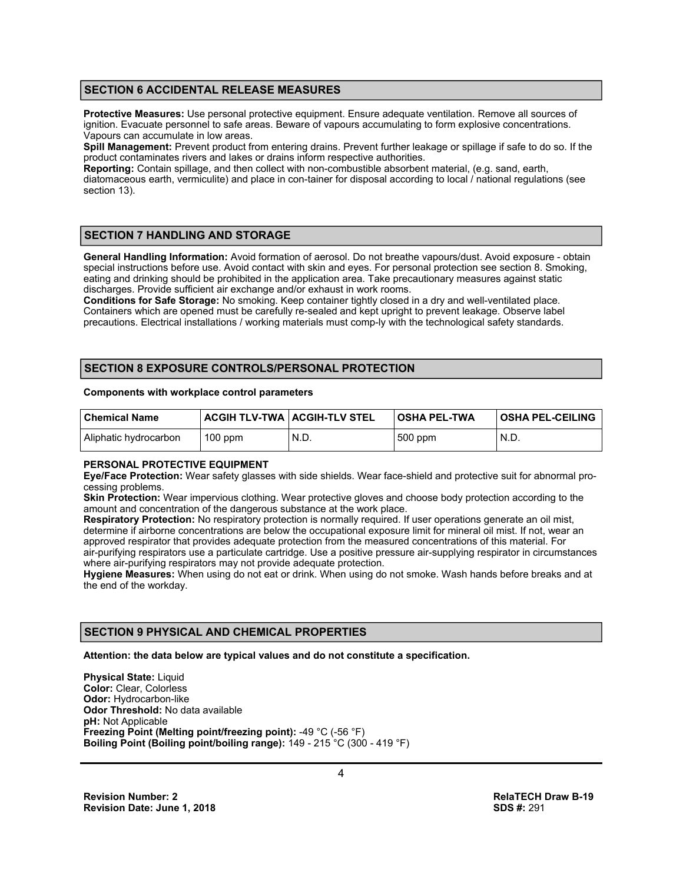# **SECTION 6 ACCIDENTAL RELEASE MEASURES**

**Protective Measures:** Use personal protective equipment. Ensure adequate ventilation. Remove all sources of ignition. Evacuate personnel to safe areas. Beware of vapours accumulating to form explosive concentrations. Vapours can accumulate in low areas.

**Spill Management:** Prevent product from entering drains. Prevent further leakage or spillage if safe to do so. If the product contaminates rivers and lakes or drains inform respective authorities.

**Reporting:** Contain spillage, and then collect with non-combustible absorbent material, (e.g. sand, earth, diatomaceous earth, vermiculite) and place in con-tainer for disposal according to local / national regulations (see section 13).

# **SECTION 7 HANDLING AND STORAGE**

**General Handling Information:** Avoid formation of aerosol. Do not breathe vapours/dust. Avoid exposure - obtain special instructions before use. Avoid contact with skin and eyes. For personal protection see section 8. Smoking, eating and drinking should be prohibited in the application area. Take precautionary measures against static discharges. Provide sufficient air exchange and/or exhaust in work rooms.

**Conditions for Safe Storage:** No smoking. Keep container tightly closed in a dry and well-ventilated place. Containers which are opened must be carefully re-sealed and kept upright to prevent leakage. Observe label precautions. Electrical installations / working materials must comp-ly with the technological safety standards.

# **SECTION 8 EXPOSURE CONTROLS/PERSONAL PROTECTION**

#### **Components with workplace control parameters**

| l Chemical Name       | <b>ACGIH TLV-TWA   ACGIH-TLV STEL</b> |      | OSHA PEL-TWA | <b>OSHA PEL-CEILING</b> |
|-----------------------|---------------------------------------|------|--------------|-------------------------|
| Aliphatic hydrocarbon | $100$ ppm                             | N.D. | 500 ppm      | N.D.                    |

#### **PERSONAL PROTECTIVE EQUIPMENT**

**Eye/Face Protection:** Wear safety glasses with side shields. Wear face-shield and protective suit for abnormal processing problems.

**Skin Protection:** Wear impervious clothing. Wear protective gloves and choose body protection according to the amount and concentration of the dangerous substance at the work place.

**Respiratory Protection:** No respiratory protection is normally required. If user operations generate an oil mist, determine if airborne concentrations are below the occupational exposure limit for mineral oil mist. If not, wear an approved respirator that provides adequate protection from the measured concentrations of this material. For air-purifying respirators use a particulate cartridge. Use a positive pressure air-supplying respirator in circumstances where air-purifying respirators may not provide adequate protection.

**Hygiene Measures:** When using do not eat or drink. When using do not smoke. Wash hands before breaks and at the end of the workday.

# **SECTION 9 PHYSICAL AND CHEMICAL PROPERTIES**

**Attention: the data below are typical values and do not constitute a specification.** 

**Physical State: Liquid Color:** Clear, Colorless **Odor:** Hydrocarbon-like **Odor Threshold:** No data available **pH:** Not Applicable **Freezing Point (Melting point/freezing point):** -49 °C (-56 °F) **Boiling Point (Boiling point/boiling range):** 149 - 215 °C (300 - 419 °F)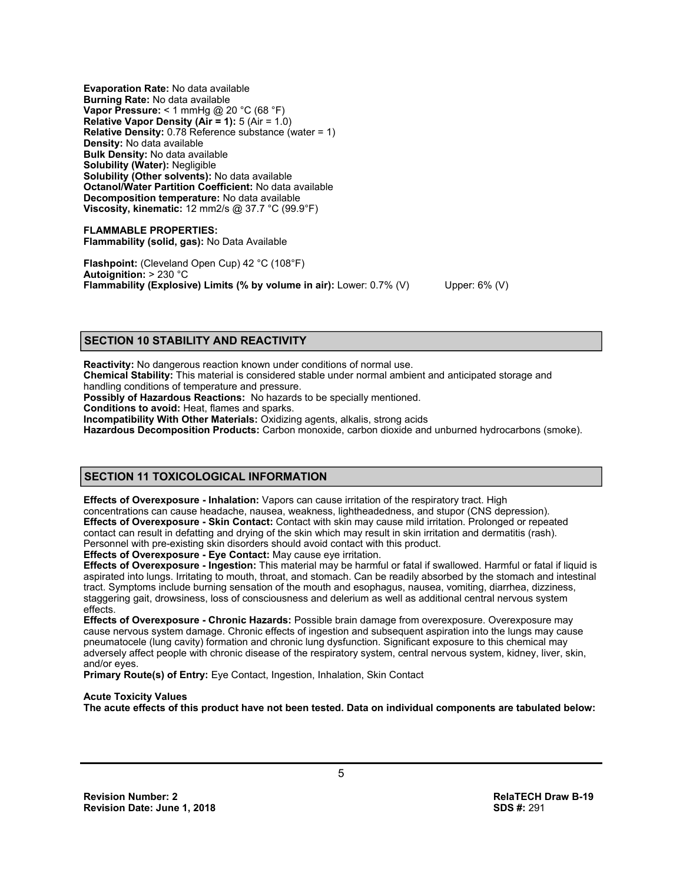**Evaporation Rate:** No data available **Burning Rate:** No data available **Vapor Pressure:** < 1 mmHg @ 20 °C (68 °F) **Relative Vapor Density (Air = 1):** 5 (Air = 1.0) **Relative Density:** 0.78 Reference substance (water = 1) **Density:** No data available **Bulk Density:** No data available **Solubility (Water):** Negligible **Solubility (Other solvents):** No data available **Octanol/Water Partition Coefficient:** No data available **Decomposition temperature:** No data available **Viscosity, kinematic:** 12 mm2/s @ 37.7 °C (99.9°F)

**FLAMMABLE PROPERTIES: Flammability (solid, gas):** No Data Available

**Flashpoint:** (Cleveland Open Cup) 42 °C (108°F) **Autoignition:** > 230 °C **Flammability (Explosive) Limits (% by volume in air):** Lower: 0.7% (V) Upper: 6% (V)

# **SECTION 10 STABILITY AND REACTIVITY**

**Reactivity:** No dangerous reaction known under conditions of normal use. **Chemical Stability:** This material is considered stable under normal ambient and anticipated storage and handling conditions of temperature and pressure.

**Possibly of Hazardous Reactions:** No hazards to be specially mentioned.

**Conditions to avoid:** Heat, flames and sparks.

**Incompatibility With Other Materials:** Oxidizing agents, alkalis, strong acids

**Hazardous Decomposition Products:** Carbon monoxide, carbon dioxide and unburned hydrocarbons (smoke).

# **SECTION 11 TOXICOLOGICAL INFORMATION**

**Effects of Overexposure - Inhalation:** Vapors can cause irritation of the respiratory tract. High concentrations can cause headache, nausea, weakness, lightheadedness, and stupor (CNS depression). **Effects of Overexposure - Skin Contact:** Contact with skin may cause mild irritation. Prolonged or repeated contact can result in defatting and drying of the skin which may result in skin irritation and dermatitis (rash). Personnel with pre-existing skin disorders should avoid contact with this product.

**Effects of Overexposure - Eye Contact:** May cause eye irritation.

**Effects of Overexposure - Ingestion:** This material may be harmful or fatal if swallowed. Harmful or fatal if liquid is aspirated into lungs. Irritating to mouth, throat, and stomach. Can be readily absorbed by the stomach and intestinal tract. Symptoms include burning sensation of the mouth and esophagus, nausea, vomiting, diarrhea, dizziness, staggering gait, drowsiness, loss of consciousness and delerium as well as additional central nervous system effects.

**Effects of Overexposure - Chronic Hazards:** Possible brain damage from overexposure. Overexposure may cause nervous system damage. Chronic effects of ingestion and subsequent aspiration into the lungs may cause pneumatocele (lung cavity) formation and chronic lung dysfunction. Significant exposure to this chemical may adversely affect people with chronic disease of the respiratory system, central nervous system, kidney, liver, skin, and/or eyes.

**Primary Route(s) of Entry:** Eye Contact, Ingestion, Inhalation, Skin Contact

#### **Acute Toxicity Values**

**The acute effects of this product have not been tested. Data on individual components are tabulated below:**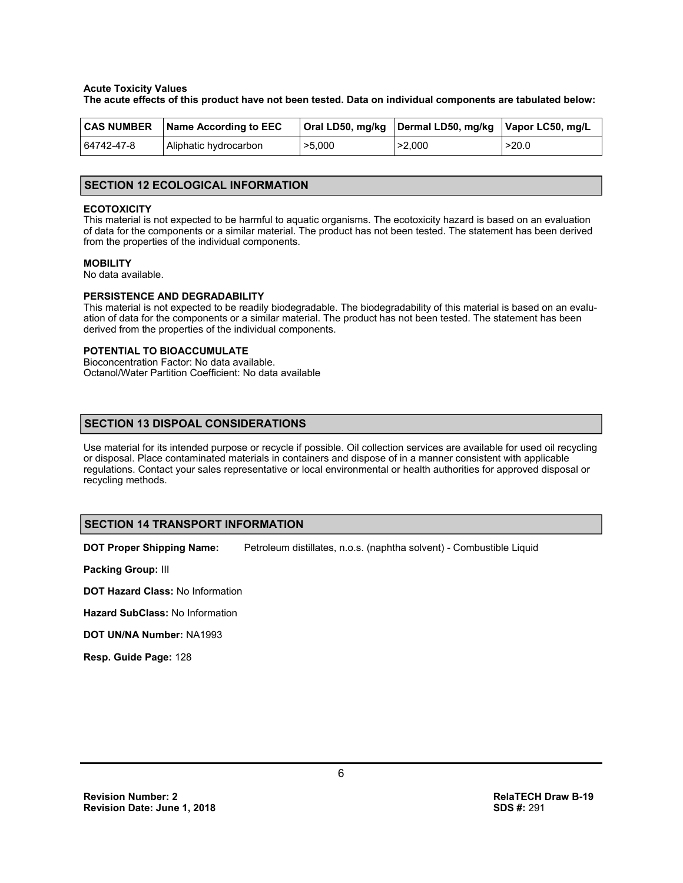#### **Acute Toxicity Values**

**The acute effects of this product have not been tested. Data on individual components are tabulated below:**

| <b>CAS NUMBER</b> | Name According to EEC |        | Oral LD50, mg/kg Dermal LD50, mg/kg Vapor LC50, mg/L |       |
|-------------------|-----------------------|--------|------------------------------------------------------|-------|
| 64742-47-8        | Aliphatic hydrocarbon | >5,000 | >2,000                                               | >20.0 |

#### **SECTION 12 ECOLOGICAL INFORMATION**

#### **ECOTOXICITY**

This material is not expected to be harmful to aquatic organisms. The ecotoxicity hazard is based on an evaluation of data for the components or a similar material. The product has not been tested. The statement has been derived from the properties of the individual components.

#### **MOBILITY**

No data available.

#### **PERSISTENCE AND DEGRADABILITY**

This material is not expected to be readily biodegradable. The biodegradability of this material is based on an evaluation of data for the components or a similar material. The product has not been tested. The statement has been derived from the properties of the individual components.

#### **POTENTIAL TO BIOACCUMULATE**

Bioconcentration Factor: No data available. Octanol/Water Partition Coefficient: No data available

# **SECTION 13 DISPOAL CONSIDERATIONS**

Use material for its intended purpose or recycle if possible. Oil collection services are available for used oil recycling or disposal. Place contaminated materials in containers and dispose of in a manner consistent with applicable regulations. Contact your sales representative or local environmental or health authorities for approved disposal or recycling methods.

#### **SECTION 14 TRANSPORT INFORMATION**

**DOT Proper Shipping Name:** Petroleum distillates, n.o.s. (naphtha solvent) - Combustible Liquid

**Packing Group:** III

**DOT Hazard Class:** No Information

**Hazard SubClass:** No Information

**DOT UN/NA Number:** NA1993

**Resp. Guide Page:** 128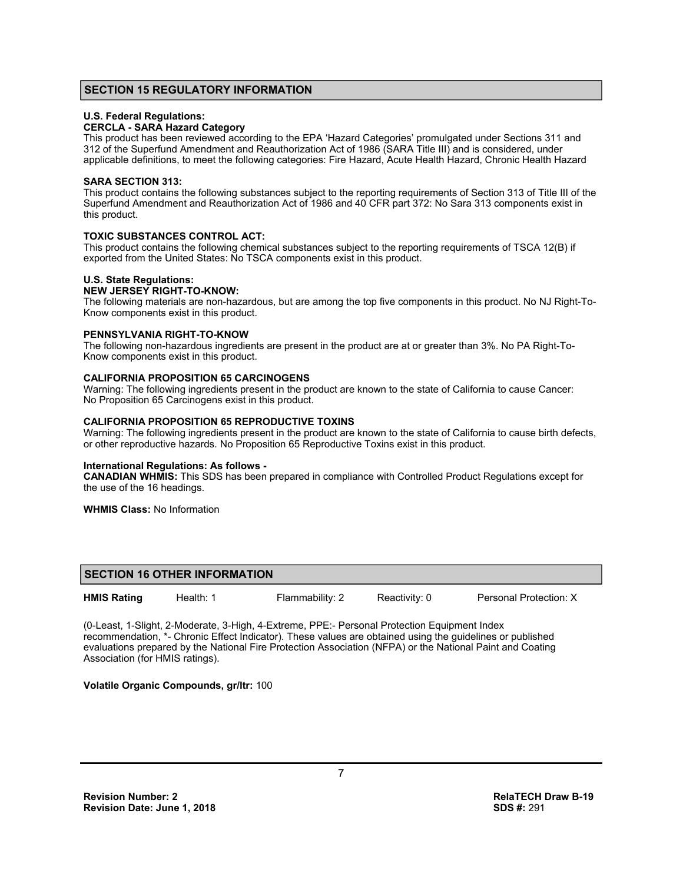# **SECTION 15 REGULATORY INFORMATION**

#### **U.S. Federal Regulations:**

#### **CERCLA - SARA Hazard Category**

This product has been reviewed according to the EPA 'Hazard Categories' promulgated under Sections 311 and 312 of the Superfund Amendment and Reauthorization Act of 1986 (SARA Title III) and is considered, under applicable definitions, to meet the following categories: Fire Hazard, Acute Health Hazard, Chronic Health Hazard

#### **SARA SECTION 313:**

This product contains the following substances subject to the reporting requirements of Section 313 of Title III of the Superfund Amendment and Reauthorization Act of 1986 and 40 CFR part 372: No Sara 313 components exist in this product.

#### **TOXIC SUBSTANCES CONTROL ACT:**

This product contains the following chemical substances subject to the reporting requirements of TSCA 12(B) if exported from the United States: No TSCA components exist in this product.

#### **U.S. State Regulations:**

#### **NEW JERSEY RIGHT-TO-KNOW:**

The following materials are non-hazardous, but are among the top five components in this product. No NJ Right-To-Know components exist in this product.

#### **PENNSYLVANIA RIGHT-TO-KNOW**

The following non-hazardous ingredients are present in the product are at or greater than 3%. No PA Right-To-Know components exist in this product.

#### **CALIFORNIA PROPOSITION 65 CARCINOGENS**

Warning: The following ingredients present in the product are known to the state of California to cause Cancer: No Proposition 65 Carcinogens exist in this product.

#### **CALIFORNIA PROPOSITION 65 REPRODUCTIVE TOXINS**

Warning: The following ingredients present in the product are known to the state of California to cause birth defects, or other reproductive hazards. No Proposition 65 Reproductive Toxins exist in this product.

#### **International Regulations: As follows -**

**CANADIAN WHMIS:** This SDS has been prepared in compliance with Controlled Product Regulations except for the use of the 16 headings.

**WHMIS Class:** No Information

#### **SECTION 16 OTHER INFORMATION**

**HMIS Rating** Health: 1 Flammability: 2 Reactivity: 0 Personal Protection: X

(0-Least, 1-Slight, 2-Moderate, 3-High, 4-Extreme, PPE:- Personal Protection Equipment Index recommendation, \*- Chronic Effect Indicator). These values are obtained using the guidelines or published evaluations prepared by the National Fire Protection Association (NFPA) or the National Paint and Coating Association (for HMIS ratings).

#### **Volatile Organic Compounds, gr/ltr:** 100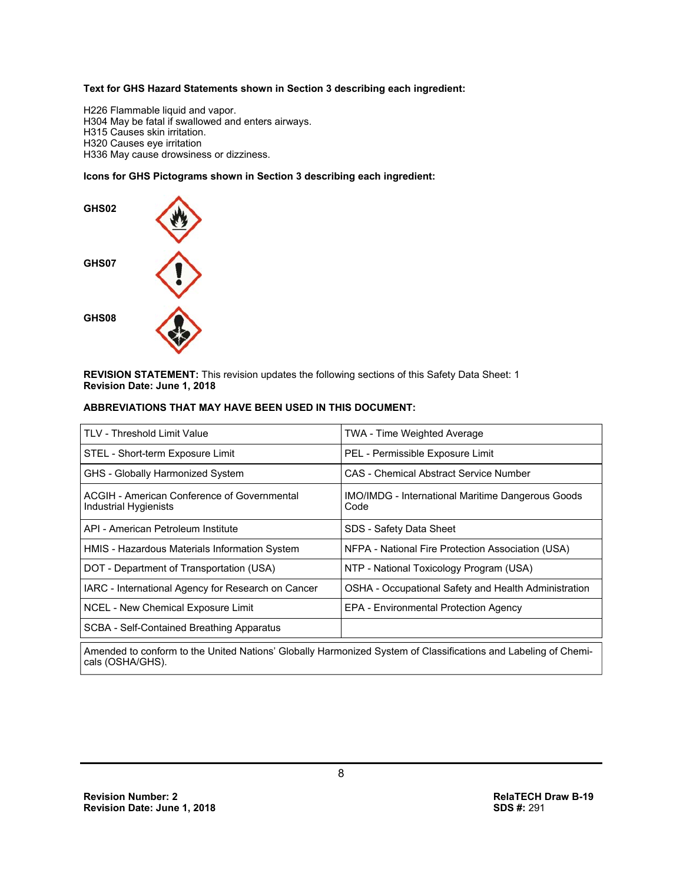#### **Text for GHS Hazard Statements shown in Section 3 describing each ingredient:**

H226 Flammable liquid and vapor. H304 May be fatal if swallowed and enters airways. H315 Causes skin irritation. H320 Causes eye irritation H336 May cause drowsiness or dizziness.

#### **Icons for GHS Pictograms shown in Section 3 describing each ingredient:**



**REVISION STATEMENT:** This revision updates the following sections of this Safety Data Sheet: 1 **Revision Date: June 1, 2018**

#### **ABBREVIATIONS THAT MAY HAVE BEEN USED IN THIS DOCUMENT:**

| TLV - Threshold Limit Value                                          | <b>TWA - Time Weighted Average</b>                               |
|----------------------------------------------------------------------|------------------------------------------------------------------|
| STEL - Short-term Exposure Limit                                     | PEL - Permissible Exposure Limit                                 |
| GHS - Globally Harmonized System                                     | <b>CAS</b> - Chemical Abstract Service Number                    |
| ACGIH - American Conference of Governmental<br>Industrial Hygienists | <b>IMO/IMDG</b> - International Maritime Dangerous Goods<br>Code |
| API - American Petroleum Institute                                   | SDS - Safety Data Sheet                                          |
| HMIS - Hazardous Materials Information System                        | NFPA - National Fire Protection Association (USA)                |
| DOT - Department of Transportation (USA)                             | NTP - National Toxicology Program (USA)                          |
| IARC - International Agency for Research on Cancer                   | OSHA - Occupational Safety and Health Administration             |
| <b>NCEL - New Chemical Exposure Limit</b>                            | <b>EPA - Environmental Protection Agency</b>                     |
| <b>SCBA - Self-Contained Breathing Apparatus</b>                     |                                                                  |
|                                                                      |                                                                  |

Amended to conform to the United Nations' Globally Harmonized System of Classifications and Labeling of Chemicals (OSHA/GHS).